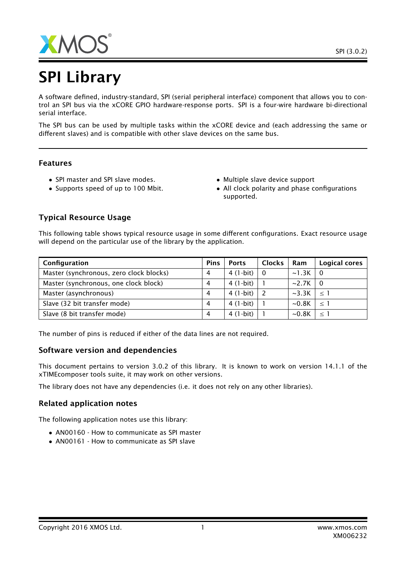

# SPI Library

A software defined, industry-standard, SPI (serial peripheral interface) component that allows you to control an SPI bus via the xCORE GPIO hardware-response ports. SPI is a four-wire hardware bi-directional serial interface.

The SPI bus can be used by multiple tasks within the xCORE device and (each addressing the same or different slaves) and is compatible with other slave devices on the same bus.

### Features

- SPI master and SPI slave modes.
- Supports speed of up to 100 Mbit.
- Multiple slave device support
- All clock polarity and phase configurations supported.

# Typical Resource Usage

This following table shows typical resource usage in some different configurations. Exact resource usage will depend on the particular use of the library by the application.

| Configuration                           |   | <b>Ports</b> | <b>Clocks</b> | Ram                  | Logical cores |
|-----------------------------------------|---|--------------|---------------|----------------------|---------------|
| Master (synchronous, zero clock blocks) | 4 | 4 (1-bit)    | - 0           | $\sim$ 1.3K $\mid$ 0 |               |
| Master (synchronous, one clock block)   | 4 | $4(1-bit)$   |               | $\sim$ 2.7K $\mid$ 0 |               |
| Master (asynchronous)                   | 4 | $4(1-bit)$   |               | $\sim$ 3.3K          | $\vert$ < 1   |
| Slave (32 bit transfer mode)            | 4 | $4(1-bit)$   |               | $\sim$ 0.8K          | $\leq$ 1      |
| Slave (8 bit transfer mode)             | 4 | $4(1-bit)$   |               | $\sim$ 0.8K          | $\leq$ 1      |

The number of pins is reduced if either of the data lines are not required.

# Software version and dependencies

This document pertains to version 3.0.2 of this library. It is known to work on version 14.1.1 of the xTIMEcomposer tools suite, it may work on other versions.

The library does not have any dependencies (i.e. it does not rely on any other libraries).

# Related application notes

The following application notes use this library:

- AN00160 How to communicate as SPI master
- AN00161 How to communicate as SPI slave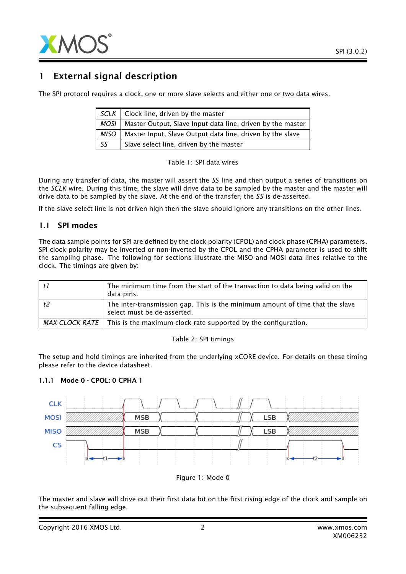

# 1 External signal description

The SPI protocol requires a clock, one or more slave selects and either one or two data wires.

|      | $SCLK$   Clock line, driven by the master                  |
|------|------------------------------------------------------------|
| MOSI | Master Output, Slave Input data line, driven by the master |
| MISO | Master Input, Slave Output data line, driven by the slave  |
| SS   | Slave select line, driven by the master                    |

Table 1: SPI data wires

During any transfer of data, the master will assert the *SS* line and then output a series of transitions on the *SCLK* wire. During this time, the slave will drive data to be sampled by the master and the master will drive data to be sampled by the slave. At the end of the transfer, the *SS* is de-asserted.

If the slave select line is not driven high then the slave should ignore any transitions on the other lines.

### 1.1 SPI modes

The data sample points for SPI are defined by the clock polarity (CPOL) and clock phase (CPHA) parameters. SPI clock polarity may be inverted or non-inverted by the CPOL and the CPHA parameter is used to shift the sampling phase. The following for sections illustrate the MISO and MOSI data lines relative to the clock. The timings are given by:

|    | The minimum time from the start of the transaction to data being valid on the<br>data pins.                  |
|----|--------------------------------------------------------------------------------------------------------------|
| t2 | The inter-transmission gap. This is the minimum amount of time that the slave<br>select must be de-asserted. |
|    | MAX CLOCK RATE $\parallel$ This is the maximum clock rate supported by the configuration.                    |

#### Table 2: SPI timings

The setup and hold timings are inherited from the underlying xCORE device. For details on these timing please refer to the device datasheet.

#### 1.1.1 Mode 0 - CPOL: 0 CPHA 1





The master and slave will drive out their first data bit on the first rising edge of the clock and sample on the subsequent falling edge.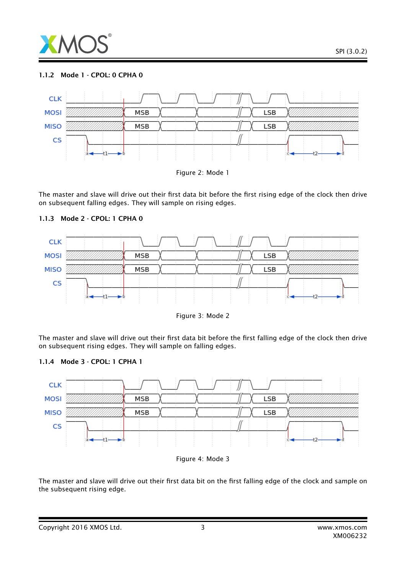

#### 1.1.2 Mode 1 - CPOL: 0 CPHA 0



The master and slave will drive out their first data bit before the first rising edge of the clock then drive on subsequent falling edges. They will sample on rising edges.



#### 1.1.3 Mode 2 - CPOL: 1 CPHA 0



The master and slave will drive out their first data bit before the first falling edge of the clock then drive on subsequent rising edges. They will sample on falling edges.







The master and slave will drive out their first data bit on the first falling edge of the clock and sample on the subsequent rising edge.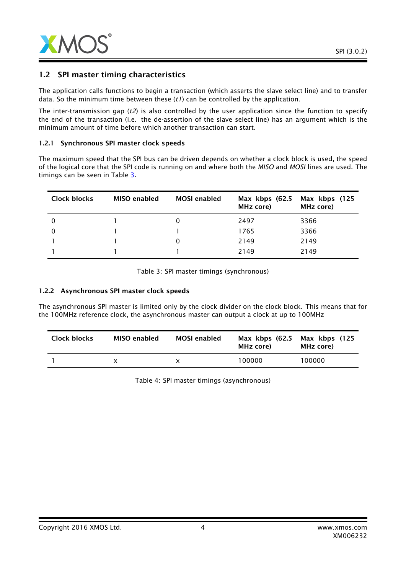

### 1.2 SPI master timing characteristics

The application calls functions to begin a transaction (which asserts the slave select line) and to transfer data. So the minimum time between these (*t1*) can be controlled by the application.

The inter-transmission gap (*t2*) is also controlled by the user application since the function to specify the end of the transaction (i.e. the de-assertion of the slave select line) has an argument which is the minimum amount of time before which another transaction can start.

#### 1.2.1 Synchronous SPI master clock speeds

The maximum speed that the SPI bus can be driven depends on whether a clock block is used, the speed of the logical core that the SPI code is running on and where both the *MISO* and *MOSI* lines are used. The timings can be seen in Table [3.](#page-3-0)

| Clock blocks | <b>MISO</b> enabled | <b>MOSI</b> enabled | Max kbps (62.5<br>MHz core) | Max kbps (125<br>MHz core) |
|--------------|---------------------|---------------------|-----------------------------|----------------------------|
| 0            |                     |                     | 2497                        | 3366                       |
|              |                     |                     | 1765                        | 3366                       |
|              |                     |                     | 2149                        | 2149                       |
|              |                     |                     | 2149                        | 2149                       |

<span id="page-3-0"></span>Table 3: SPI master timings (synchronous)

#### 1.2.2 Asynchronous SPI master clock speeds

The asynchronous SPI master is limited only by the clock divider on the clock block. This means that for the 100MHz reference clock, the asynchronous master can output a clock at up to 100MHz

| Clock blocks | MISO enabled | <b>MOSI</b> enabled | Max $kbps$ (62.5)<br>MHz core) | Max kbps (125<br>MHz core) |
|--------------|--------------|---------------------|--------------------------------|----------------------------|
|              |              |                     | 100000                         | 100000                     |

Table 4: SPI master timings (asynchronous)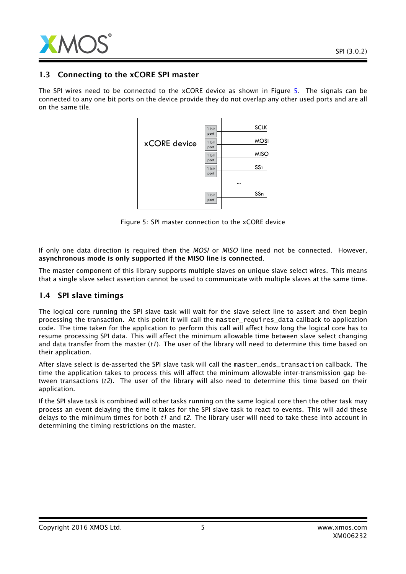

# 1.3 Connecting to the xCORE SPI master

The SPI wires need to be connected to the xCORE device as shown in Figure [5.](#page-4-0) The signals can be connected to any one bit ports on the device provide they do not overlap any other used ports and are all on the same tile.



<span id="page-4-0"></span>Figure 5: SPI master connection to the xCORE device

If only one data direction is required then the *MOSI* or *MISO* line need not be connected. However, asynchronous mode is only supported if the MISO line is connected.

The master component of this library supports multiple slaves on unique slave select wires. This means that a single slave select assertion cannot be used to communicate with multiple slaves at the same time.

### 1.4 SPI slave timings

The logical core running the SPI slave task will wait for the slave select line to assert and then begin processing the transaction. At this point it will call the master\_requires\_data callback to application code. The time taken for the application to perform this call will affect how long the logical core has to resume processing SPI data. This will affect the minimum allowable time between slave select changing and data transfer from the master (*t1*). The user of the library will need to determine this time based on their application.

After slave select is de-asserted the SPI slave task will call the master\_ends\_transaction callback. The time the application takes to process this will affect the minimum allowable inter-transmission gap between transactions (*t2*). The user of the library will also need to determine this time based on their application.

If the SPI slave task is combined will other tasks running on the same logical core then the other task may process an event delaying the time it takes for the SPI slave task to react to events. This will add these delays to the minimum times for both *t1* and *t2*. The library user will need to take these into account in determining the timing restrictions on the master.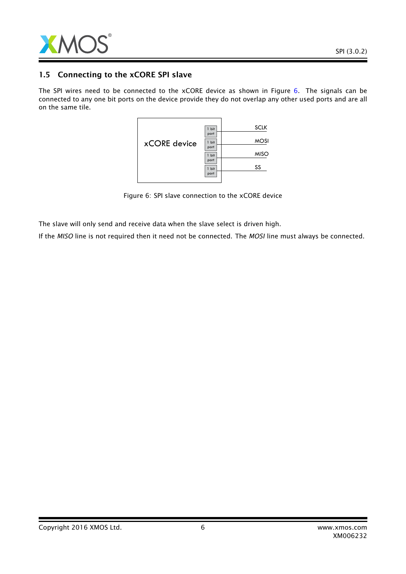

### 1.5 Connecting to the xCORE SPI slave

The SPI wires need to be connected to the xCORE device as shown in Figure [6.](#page-5-0) The signals can be connected to any one bit ports on the device provide they do not overlap any other used ports and are all on the same tile.



<span id="page-5-0"></span>Figure 6: SPI slave connection to the xCORE device

The slave will only send and receive data when the slave select is driven high.

If the *MISO* line is not required then it need not be connected. The *MOSI* line must always be connected.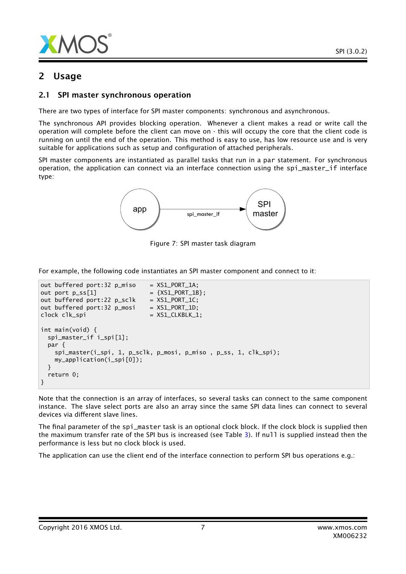

# 2 Usage

# 2.1 SPI master synchronous operation

There are two types of interface for SPI master components: synchronous and asynchronous.

The synchronous API provides blocking operation. Whenever a client makes a read or write call the operation will complete before the client can move on - this will occupy the core that the client code is running on until the end of the operation. This method is easy to use, has low resource use and is very suitable for applications such as setup and configuration of attached peripherals.

SPI master components are instantiated as parallel tasks that run in a par statement. For synchronous operation, the application can connect via an interface connection using the spi\_master\_if interface type:



Figure 7: SPI master task diagram

For example, the following code instantiates an SPI master component and connect to it:

```
out buffered port:32 p_{mix} = XSL_PORT_1;
out port p\_ss[1] = {XSL-PORT_1B};out buffered port:22 p\_sc1k = XS1_PORT_1C;
out buffered port:32 p_{\text{}} mosi = XS1_PORT_1D;
clock clk_spi = XS1_CLKBLK_1;
int main(void) {
 spi_master_if i_spi[1];
 par {
   spi_master(i_spi, 1, p_sclk, p_mosi, p_miso , p_ss, 1, clk_spi);
   my_application(i_spi[0]);
 }
 return 0;
}
```
Note that the connection is an array of interfaces, so several tasks can connect to the same component instance. The slave select ports are also an array since the same SPI data lines can connect to several devices via different slave lines.

The final parameter of the spi\_master task is an optional clock block. If the clock block is supplied then the maximum transfer rate of the SPI bus is increased (see Table [3\)](#page-3-0). If null is supplied instead then the performance is less but no clock block is used.

The application can use the client end of the interface connection to perform SPI bus operations e.g.: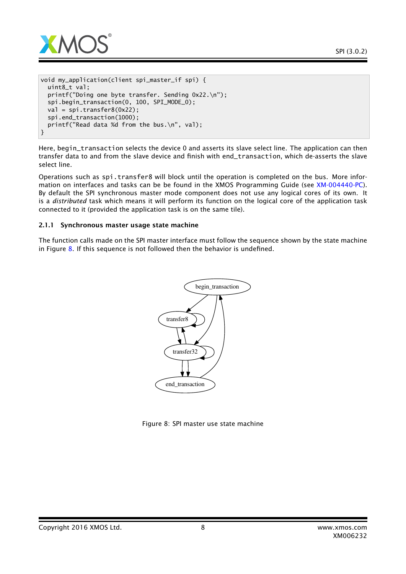

```
void my_application(client spi_master_if spi) {
 uint8_t val;
 printf("Doing one byte transfer. Sending 0x22.\n");
 spi.begin_transaction(0, 100, SPI_MODE_0);
 val = spi.transpose(0x22);spi.end_transaction(1000);
 printf("Read data %d from the bus.\n", val);
}
```
Here, begin\_transaction selects the device 0 and asserts its slave select line. The application can then transfer data to and from the slave device and finish with end\_transaction, which de-asserts the slave select line.

Operations such as spi.transfer8 will block until the operation is completed on the bus. More information on interfaces and tasks can be be found in the XMOS Programming Guide (see [XM-004440-PC\)](http://www.xmos.com/doc/XM-004440-PC/latest#programming-guide). By default the SPI synchronous master mode component does not use any logical cores of its own. It is a *distributed* task which means it will perform its function on the logical core of the application task connected to it (provided the application task is on the same tile).

#### 2.1.1 Synchronous master usage state machine

The function calls made on the SPI master interface must follow the sequence shown by the state machine in Figure  $8.$  If this sequence is not followed then the behavior is undefined.



<span id="page-7-0"></span>Figure 8: SPI master use state machine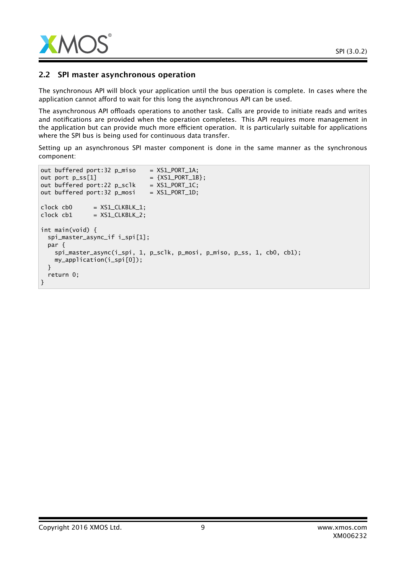

### 2.2 SPI master asynchronous operation

The synchronous API will block your application until the bus operation is complete. In cases where the application cannot afford to wait for this long the asynchronous API can be used.

The asynchronous API offloads operations to another task. Calls are provide to initiate reads and writes and notifications are provided when the operation completes. This API requires more management in the application but can provide much more efficient operation. It is particularly suitable for applications where the SPI bus is being used for continuous data transfer.

Setting up an asynchronous SPI master component is done in the same manner as the synchronous component:

```
out buffered port:32 p_{mix} = XSL_PORT_1;
out port p\_ss[1] = {XSI\_PORT_1B};
out buffered port:22 p_sclk = XSL_PORT\_1C;
out buffered port:32 p_{\text{}} mosi = XS1_PORT_1D;
clock cb0 = XS1_CLKBLK_1;
clock \text{cb1} = XSL\_CLKBLK_2;int main(void) {
  spi_master_async_if i_spi[1];
  par {
    spi_master_async(i_spi, 1, p_sclk, p_mosi, p_miso, p_ss, 1, cb0, cb1);
    my_application(i_spi[0]);
  }
  return 0;
}
```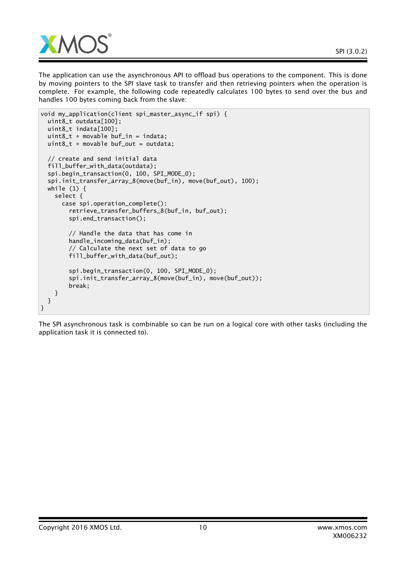The application can use the asynchronous API to offload bus operations to the component. This is done by moving pointers to the SPI slave task to transfer and then retrieving pointers when the operation is complete. For example, the following code repeatedly calculates 100 bytes to send over the bus and handles 100 bytes coming back from the slave:

```
void my_application(client spi_master_async_if spi) {
 uint8_t outdata[100];
 uint8_t indata[100];
 uint8_t \cdot movable buf_in = indata;
 uint8_t * movable buffer_0ut = outdata;// create and send initial data
 fill_buffer_with_data(outdata);
 spi.begin_transaction(0, 100, SPI_MODE_0);
 spi.init_transfer_array_8(move(buf_in), move(buf_out), 100);
 while (1) {
    select {
      case spi.operation_complete():
        retrieve_transfer_buffers_8(buf_in, buf_out);
        spi.end_transaction();
        // Handle the data that has come in
        handle_incoming_data(buf_in);
        // Calculate the next set of data to go
        fill_buffer_with_data(buf_out);
        spi.begin_transaction(0, 100, SPI_MODE_0);
        spi.init_transfer_array_8(move(buf_in), move(buf_out));
        break;
    }
 }
}
```
The SPI asynchronous task is combinable so can be run on a logical core with other tasks (including the application task it is connected to).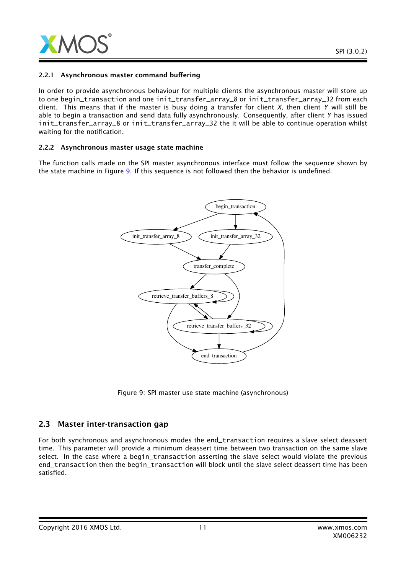

#### 2.2.1 Asynchronous master command buffering

In order to provide asynchronous behaviour for multiple clients the asynchronous master will store up to one begin\_transaction and one init\_transfer\_array\_8 or init\_transfer\_array\_32 from each client. This means that if the master is busy doing a transfer for client *X*, then client *Y* will still be able to begin a transaction and send data fully asynchronously. Consequently, after client *Y* has issued init transfer array 8 or init transfer array 32 the it will be able to continue operation whilst waiting for the notification.

#### 2.2.2 Asynchronous master usage state machine

The function calls made on the SPI master asynchronous interface must follow the sequence shown by the state machine in Figure [9.](#page-10-0) If this sequence is not followed then the behavior is undefined.



<span id="page-10-0"></span>Figure 9: SPI master use state machine (asynchronous)

### 2.3 Master inter-transaction gap

For both synchronous and asynchronous modes the end\_transaction requires a slave select deassert time. This parameter will provide a minimum deassert time between two transaction on the same slave select. In the case where a begin\_transaction asserting the slave select would violate the previous end\_transaction then the begin\_transaction will block until the slave select deassert time has been satisfied.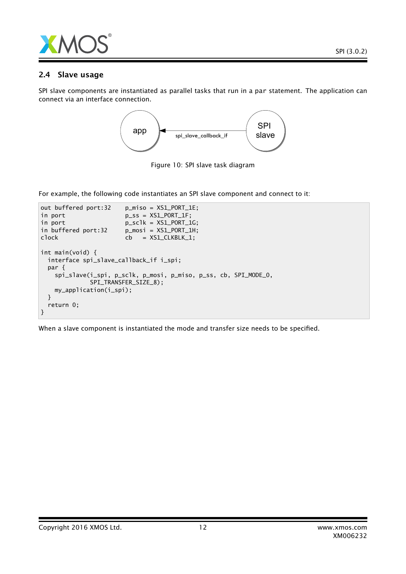

# 2.4 Slave usage

SPI slave components are instantiated as parallel tasks that run in a par statement. The application can connect via an interface connection.



Figure 10: SPI slave task diagram

For example, the following code instantiates an SPI slave component and connect to it:

```
out buffered port:32 p_miso = XS1_PORT_1E;
in port p\_ss = XSL_PORT_I:
in port p\_sc1k = XSL\_PORT\_1G;<br>in buffered port:32 p\_mosi = XSL\_PORT\_1H;
                        p_{\text{missi}} = XSL_PORT_1H;
clock cb = XS1_CLKBLK_1;
int main(void) {
  interface spi_slave_callback_if i_spi;
  par {
    spi_slave(i_spi, p_sclk, p_mosi, p_miso, p_ss, cb, SPI_MODE_0,
              SPI_TRANSFER_SIZE_8);
    my_application(i_spi);
  }
  return 0;
}
```
When a slave component is instantiated the mode and transfer size needs to be specified.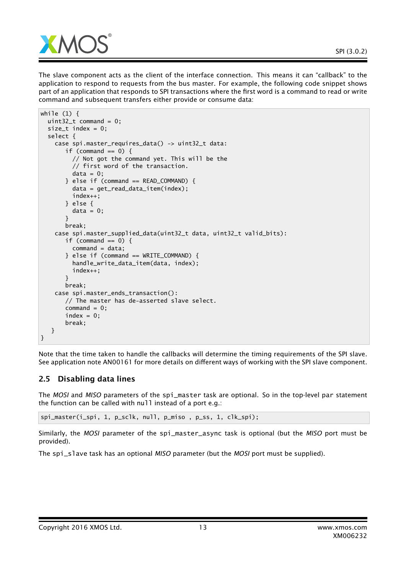

The slave component acts as the client of the interface connection. This means it can "callback" to the application to respond to requests from the bus master. For example, the following code snippet shows part of an application that responds to SPI transactions where the first word is a command to read or write command and subsequent transfers either provide or consume data:

```
while (1) {
 uint32_t command = 0;
 size_t index = 0;
 select {
    case spi.master_requires_data() -> uint32_t data:
       if (command == 0) {
         // Not got the command yet. This will be the
         // first word of the transaction.
         data = 0;\} else if (command == READ_COMMAND) {
         data = get_read_data_item(index);
         index++;
       } else {
         data = 0;}
      break;
    case spi.master_supplied_data(uint32_t data, uint32_t valid_bits):
       if (command == 0) {
         command = data;} else if (command == WRITE_COMMAND) {
         handle_write_data_item(data, index);
         index++;
       }
      break;
    case spi.master_ends_transaction():
       // The master has de-asserted slave select.
       command = 0:
       index = 0;break;
  }
}
```
Note that the time taken to handle the callbacks will determine the timing requirements of the SPI slave. See application note AN00161 for more details on different ways of working with the SPI slave component.

# 2.5 Disabling data lines

The *MOSI* and *MISO* parameters of the spi\_master task are optional. So in the top-level par statement the function can be called with null instead of a port e.g.:

spi\_master(i\_spi, 1, p\_sclk, null, p\_miso , p\_ss, 1, clk\_spi);

Similarly, the *MOSI* parameter of the spi\_master\_async task is optional (but the *MISO* port must be provided).

The spi\_slave task has an optional *MISO* parameter (but the *MOSI* port must be supplied).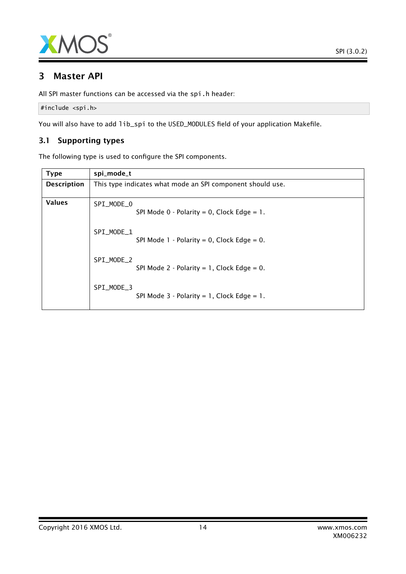

# 3 Master API

All SPI master functions can be accessed via the spi.h header:

```
#include <spi.h>
```
You will also have to add lib\_spi to the USED\_MODULES field of your application Makefile.

# 3.1 Supporting types

The following type is used to configure the SPI components.

<span id="page-13-0"></span>

| <b>Type</b>        | spi_mode_t                                                 |
|--------------------|------------------------------------------------------------|
| <b>Description</b> | This type indicates what mode an SPI component should use. |
| <b>Values</b>      | SPI_MODE_0<br>SPI Mode $0$ - Polarity = 0, Clock Edge = 1. |
|                    | SPI MODE 1<br>SPI Mode $1 -$ Polarity = 0, Clock Edge = 0. |
|                    | SPI MODE 2<br>SPI Mode 2 - Polarity = 1, Clock Edge = 0.   |
|                    | SPI_MODE_3<br>SPI Mode $3$ - Polarity = 1, Clock Edge = 1. |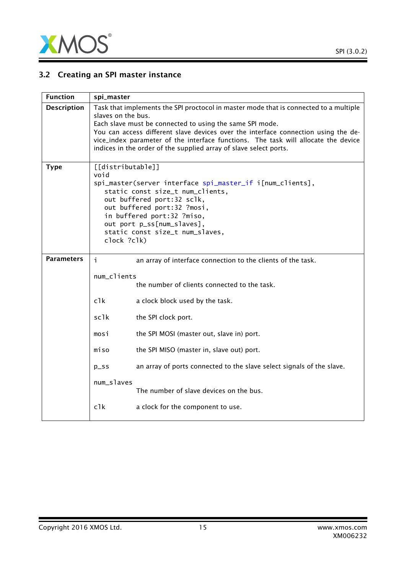

# 3.2 Creating an SPI master instance

| <b>Function</b>    | spi_master                                                                                                                                                                                                                                                                                            |                                                                                                                                                                                                                                                                                                                                                                                                                          |  |  |
|--------------------|-------------------------------------------------------------------------------------------------------------------------------------------------------------------------------------------------------------------------------------------------------------------------------------------------------|--------------------------------------------------------------------------------------------------------------------------------------------------------------------------------------------------------------------------------------------------------------------------------------------------------------------------------------------------------------------------------------------------------------------------|--|--|
| <b>Description</b> |                                                                                                                                                                                                                                                                                                       | Task that implements the SPI proctocol in master mode that is connected to a multiple<br>slaves on the bus.<br>Each slave must be connected to using the same SPI mode.<br>You can access different slave devices over the interface connection using the de-<br>vice_index parameter of the interface functions. The task will allocate the device<br>indices in the order of the supplied array of slave select ports. |  |  |
| <b>Type</b>        | [[distributable]]<br>void<br>spi_master(server interface spi_master_if i[num_clients],<br>static const size_t num_clients,<br>out buffered port:32 sclk,<br>out buffered port:32 ?mosi,<br>in buffered port:32 ?miso,<br>out port p_ss[num_slaves],<br>static const size_t num_slaves,<br>clock ?clk) |                                                                                                                                                                                                                                                                                                                                                                                                                          |  |  |
| <b>Parameters</b>  | j.                                                                                                                                                                                                                                                                                                    | an array of interface connection to the clients of the task.                                                                                                                                                                                                                                                                                                                                                             |  |  |
|                    | num_clients<br>the number of clients connected to the task.                                                                                                                                                                                                                                           |                                                                                                                                                                                                                                                                                                                                                                                                                          |  |  |
|                    | c1k                                                                                                                                                                                                                                                                                                   | a clock block used by the task.                                                                                                                                                                                                                                                                                                                                                                                          |  |  |
|                    | sclk                                                                                                                                                                                                                                                                                                  | the SPI clock port.                                                                                                                                                                                                                                                                                                                                                                                                      |  |  |
|                    | mosi                                                                                                                                                                                                                                                                                                  | the SPI MOSI (master out, slave in) port.                                                                                                                                                                                                                                                                                                                                                                                |  |  |
|                    | miso                                                                                                                                                                                                                                                                                                  | the SPI MISO (master in, slave out) port.                                                                                                                                                                                                                                                                                                                                                                                |  |  |
|                    | $p$ _ss                                                                                                                                                                                                                                                                                               | an array of ports connected to the slave select signals of the slave.                                                                                                                                                                                                                                                                                                                                                    |  |  |
|                    | num_slaves                                                                                                                                                                                                                                                                                            | The number of slave devices on the bus.                                                                                                                                                                                                                                                                                                                                                                                  |  |  |
|                    | c1k                                                                                                                                                                                                                                                                                                   | a clock for the component to use.                                                                                                                                                                                                                                                                                                                                                                                        |  |  |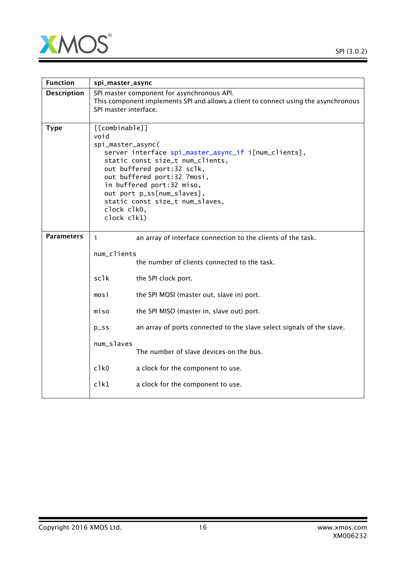

| <b>Function</b>    | spi_master_async                                                                                                                                                                                                                                                                                                                 |                                                                                                                                                            |  |  |
|--------------------|----------------------------------------------------------------------------------------------------------------------------------------------------------------------------------------------------------------------------------------------------------------------------------------------------------------------------------|------------------------------------------------------------------------------------------------------------------------------------------------------------|--|--|
| <b>Description</b> |                                                                                                                                                                                                                                                                                                                                  | SPI master component for asynchronous API.<br>This component implements SPI and allows a client to connect using the asynchronous<br>SPI master interface. |  |  |
| <b>Type</b>        | [[combinable]]<br>void<br>spi_master_async(<br>server interface spi_master_async_if i[num_clients],<br>static const size_t num_clients,<br>out buffered port:32 sclk,<br>out buffered port:32 ?mosi,<br>in buffered port:32 miso,<br>out port p_ss[num_slaves],<br>static const size_t num_slaves,<br>clock clk0,<br>clock clk1) |                                                                                                                                                            |  |  |
| <b>Parameters</b>  | i.                                                                                                                                                                                                                                                                                                                               | an array of interface connection to the clients of the task.                                                                                               |  |  |
|                    | num_clients                                                                                                                                                                                                                                                                                                                      |                                                                                                                                                            |  |  |
|                    |                                                                                                                                                                                                                                                                                                                                  | the number of clients connected to the task.                                                                                                               |  |  |
|                    | sclk                                                                                                                                                                                                                                                                                                                             | the SPI clock port.                                                                                                                                        |  |  |
|                    | mosi                                                                                                                                                                                                                                                                                                                             | the SPI MOSI (master out, slave in) port.                                                                                                                  |  |  |
|                    | miso                                                                                                                                                                                                                                                                                                                             | the SPI MISO (master in, slave out) port.                                                                                                                  |  |  |
|                    | $p$ _ss                                                                                                                                                                                                                                                                                                                          | an array of ports connected to the slave select signals of the slave.                                                                                      |  |  |
|                    | num_slaves<br>The number of slave devices on the bus.                                                                                                                                                                                                                                                                            |                                                                                                                                                            |  |  |
|                    | $c$ <sup>1<math>k</math>0</sup>                                                                                                                                                                                                                                                                                                  | a clock for the component to use.                                                                                                                          |  |  |
|                    | c1k1<br>a clock for the component to use.                                                                                                                                                                                                                                                                                        |                                                                                                                                                            |  |  |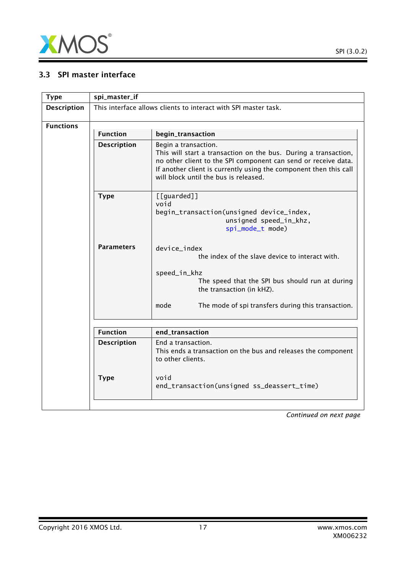

# 3.3 SPI master interface

<span id="page-16-0"></span>

| <b>Type</b>                                       | spi_master_if                                                   |                                                                                                                                                                                                                                                                         |  |  |
|---------------------------------------------------|-----------------------------------------------------------------|-------------------------------------------------------------------------------------------------------------------------------------------------------------------------------------------------------------------------------------------------------------------------|--|--|
| <b>Description</b>                                | This interface allows clients to interact with SPI master task. |                                                                                                                                                                                                                                                                         |  |  |
| <b>Functions</b>                                  |                                                                 |                                                                                                                                                                                                                                                                         |  |  |
|                                                   | <b>Function</b>                                                 | begin_transaction                                                                                                                                                                                                                                                       |  |  |
| <b>Description</b>                                |                                                                 | Begin a transaction.<br>This will start a transaction on the bus. During a transaction,<br>no other client to the SPI component can send or receive data.<br>If another client is currently using the component then this call<br>will block until the bus is released. |  |  |
|                                                   | <b>Type</b>                                                     | [[guarded]]<br>void<br>begin_transaction(unsigned device_index,<br>unsigned speed_in_khz,<br>spi_mode_t mode)                                                                                                                                                           |  |  |
| <b>Parameters</b><br>device_index<br>speed_in_khz |                                                                 | the index of the slave device to interact with.<br>The speed that the SPI bus should run at during<br>the transaction (in kHZ).                                                                                                                                         |  |  |
|                                                   |                                                                 | mode<br>The mode of spi transfers during this transaction.                                                                                                                                                                                                              |  |  |
|                                                   |                                                                 |                                                                                                                                                                                                                                                                         |  |  |
|                                                   | <b>Function</b>                                                 | end_transaction                                                                                                                                                                                                                                                         |  |  |
|                                                   | <b>Description</b>                                              | End a transaction.<br>This ends a transaction on the bus and releases the component<br>to other clients.                                                                                                                                                                |  |  |
|                                                   | <b>Type</b>                                                     | void<br>end_transaction(unsigned ss_deassert_time)                                                                                                                                                                                                                      |  |  |
|                                                   |                                                                 |                                                                                                                                                                                                                                                                         |  |  |

*Continued on next page*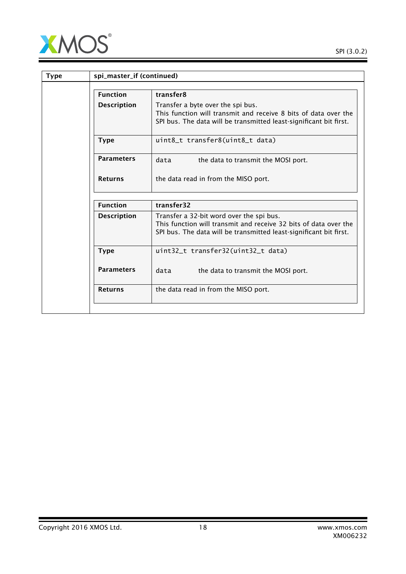

| <b>Type</b> | spi_master_if (continued) |                                                                                                                                                                                    |
|-------------|---------------------------|------------------------------------------------------------------------------------------------------------------------------------------------------------------------------------|
|             | <b>Function</b>           | transfer8                                                                                                                                                                          |
|             | <b>Description</b>        | Transfer a byte over the spi bus.<br>This function will transmit and receive 8 bits of data over the<br>SPI bus. The data will be transmitted least-significant bit first.         |
|             | <b>Type</b>               | uint8_t transfer8(uint8_t data)                                                                                                                                                    |
|             | <b>Parameters</b>         | data<br>the data to transmit the MOSI port.                                                                                                                                        |
|             | <b>Returns</b>            | the data read in from the MISO port.                                                                                                                                               |
|             | <b>Function</b>           | transfer32                                                                                                                                                                         |
|             | <b>Description</b>        | Transfer a 32-bit word over the spi bus.<br>This function will transmit and receive 32 bits of data over the<br>SPI bus. The data will be transmitted least-significant bit first. |
|             | <b>Type</b>               | uint32_t transfer32(uint32_t data)                                                                                                                                                 |
|             | <b>Parameters</b>         | data<br>the data to transmit the MOSI port.                                                                                                                                        |
|             | <b>Returns</b>            | the data read in from the MISO port.                                                                                                                                               |
|             |                           |                                                                                                                                                                                    |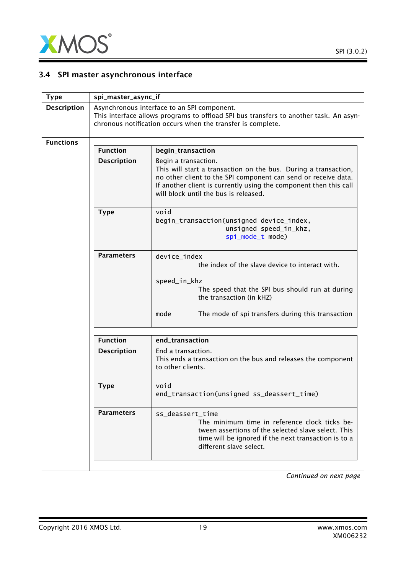

# 3.4 SPI master asynchronous interface

<span id="page-18-0"></span>

| <b>Type</b>         | spi_master_async_if                                                                                                                                                                                 |                                                                                                                                                                                                                                                                         |  |
|---------------------|-----------------------------------------------------------------------------------------------------------------------------------------------------------------------------------------------------|-------------------------------------------------------------------------------------------------------------------------------------------------------------------------------------------------------------------------------------------------------------------------|--|
| <b>Description</b>  | Asynchronous interface to an SPI component.<br>This interface allows programs to offload SPI bus transfers to another task. An asyn-<br>chronous notification occurs when the transfer is complete. |                                                                                                                                                                                                                                                                         |  |
| <b>Functions</b>    | <b>Function</b><br>begin_transaction                                                                                                                                                                |                                                                                                                                                                                                                                                                         |  |
| <b>Description</b>  |                                                                                                                                                                                                     | Begin a transaction.<br>This will start a transaction on the bus. During a transaction,<br>no other client to the SPI component can send or receive data.<br>If another client is currently using the component then this call<br>will block until the bus is released. |  |
|                     | <b>Type</b>                                                                                                                                                                                         | void<br>begin_transaction(unsigned device_index,<br>unsigned speed_in_khz,<br>spi_mode_t mode)                                                                                                                                                                          |  |
|                     | <b>Parameters</b>                                                                                                                                                                                   | device index<br>the index of the slave device to interact with.<br>speed_in_khz<br>The speed that the SPI bus should run at during<br>the transaction (in kHZ)<br>mode<br>The mode of spi transfers during this transaction                                             |  |
|                     | <b>Function</b>                                                                                                                                                                                     | end_transaction                                                                                                                                                                                                                                                         |  |
|                     | <b>Description</b>                                                                                                                                                                                  | End a transaction.<br>This ends a transaction on the bus and releases the component<br>to other clients.                                                                                                                                                                |  |
| void<br><b>Type</b> |                                                                                                                                                                                                     | end_transaction(unsigned ss_deassert_time)                                                                                                                                                                                                                              |  |
|                     | <b>Parameters</b>                                                                                                                                                                                   | ss_deassert_time<br>The minimum time in reference clock ticks be-<br>tween assertions of the selected slave select. This<br>time will be ignored if the next transaction is to a<br>different slave select.                                                             |  |
|                     |                                                                                                                                                                                                     |                                                                                                                                                                                                                                                                         |  |

*Continued on next page*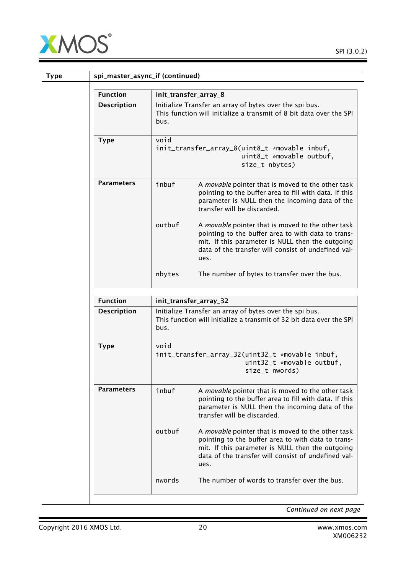

| <b>Type</b> | spi_master_async_if (continued) |                                                                                                     |                                                                                                                                                                                                                            |
|-------------|---------------------------------|-----------------------------------------------------------------------------------------------------|----------------------------------------------------------------------------------------------------------------------------------------------------------------------------------------------------------------------------|
|             | <b>Function</b>                 |                                                                                                     | init_transfer_array_8                                                                                                                                                                                                      |
|             | <b>Description</b>              | bus.                                                                                                | Initialize Transfer an array of bytes over the spi bus.<br>This function will initialize a transmit of 8 bit data over the SPI                                                                                             |
|             | <b>Type</b>                     | void<br>init_transfer_array_8(uint8_t *movable inbuf,<br>uint8_t *movable outbuf,<br>size_t nbytes) |                                                                                                                                                                                                                            |
|             | <b>Parameters</b>               | inbuf                                                                                               | A movable pointer that is moved to the other task<br>pointing to the buffer area to fill with data. If this<br>parameter is NULL then the incoming data of the<br>transfer will be discarded.                              |
|             |                                 | outbuf                                                                                              | A movable pointer that is moved to the other task<br>pointing to the buffer area to with data to trans-<br>mit. If this parameter is NULL then the outgoing<br>data of the transfer will consist of undefined val-<br>ues. |
|             |                                 | nbytes                                                                                              | The number of bytes to transfer over the bus.                                                                                                                                                                              |
|             | <b>Function</b>                 |                                                                                                     | init_transfer_array_32                                                                                                                                                                                                     |
|             | <b>Description</b>              | bus.                                                                                                | Initialize Transfer an array of bytes over the spi bus.<br>This function will initialize a transmit of 32 bit data over the SPI                                                                                            |
|             | <b>Type</b>                     | void                                                                                                | init_transfer_array_32(uint32_t *movable inbuf,<br>uint32_t *movable outbuf,<br>size_t nwords)                                                                                                                             |
|             | <b>Parameters</b>               | inbuf                                                                                               | A movable pointer that is moved to the other task<br>pointing to the buffer area to fill with data. If this<br>parameter is NULL then the incoming data of the<br>transfer will be discarded.                              |
|             |                                 | outbuf                                                                                              | A movable pointer that is moved to the other task<br>pointing to the buffer area to with data to trans-<br>mit. If this parameter is NULL then the outgoing<br>data of the transfer will consist of undefined val-<br>ues. |
|             |                                 | nwords                                                                                              | The number of words to transfer over the bus.                                                                                                                                                                              |
|             |                                 |                                                                                                     |                                                                                                                                                                                                                            |

*Continued on next page*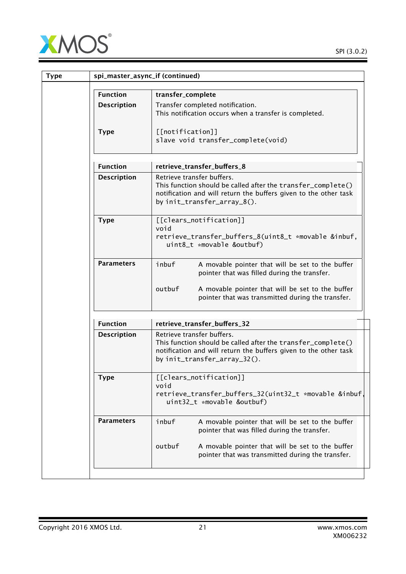

| <b>Type</b>        | spi_master_async_if (continued)                                                                                                                                                                                              |
|--------------------|------------------------------------------------------------------------------------------------------------------------------------------------------------------------------------------------------------------------------|
| <b>Function</b>    | transfer_complete                                                                                                                                                                                                            |
| <b>Description</b> | Transfer completed notification.<br>This notification occurs when a transfer is completed.                                                                                                                                   |
| <b>Type</b>        | [[notification]]<br>slave void transfer_complete(void)                                                                                                                                                                       |
| <b>Function</b>    | retrieve_transfer_buffers_8                                                                                                                                                                                                  |
| <b>Description</b> | Retrieve transfer buffers.<br>This function should be called after the transfer_complete()<br>notification and will return the buffers given to the other task<br>by init_transfer_array_8().                                |
| <b>Type</b>        | [[clears_notification]]<br>hiov<br>retrieve_transfer_buffers_8(uint8_t *movable &inbuf,<br>uint8_t *movable &outbuf)                                                                                                         |
| <b>Parameters</b>  | inbuf<br>A movable pointer that will be set to the buffer<br>pointer that was filled during the transfer.<br>outbuf<br>A movable pointer that will be set to the buffer<br>pointer that was transmitted during the transfer. |
| <b>Function</b>    | retrieve_transfer_buffers_32                                                                                                                                                                                                 |
| <b>Description</b> | Retrieve transfer buffers.<br>This function should be called after the transfer_complete()<br>notification and will return the buffers given to the other task<br>by init_transfer_array_32().                               |
| <b>Type</b>        | [[clears_notification]]<br>void<br>retrieve_transfer_buffers_32(uint32_t *movable &inbuf,<br>uint32_t *movable &outbuf)                                                                                                      |
| <b>Parameters</b>  | inbuf<br>A movable pointer that will be set to the buffer<br>pointer that was filled during the transfer.                                                                                                                    |
|                    | outbuf<br>A movable pointer that will be set to the buffer<br>pointer that was transmitted during the transfer.                                                                                                              |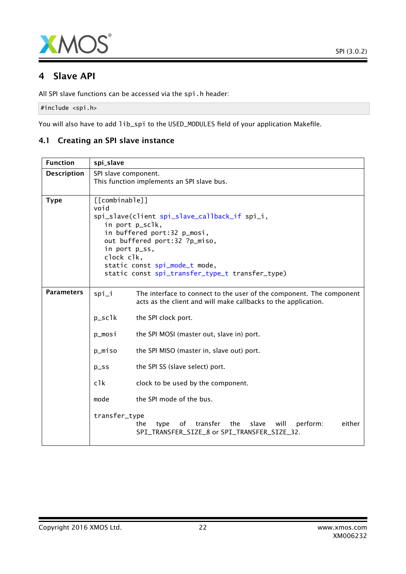

# 4 Slave API

All SPI slave functions can be accessed via the spi.h header:

#include <spi.h>

You will also have to add lib\_spi to the USED\_MODULES field of your application Makefile.

# 4.1 Creating an SPI slave instance

| <b>Function</b>    | spi_slave                                                                                                                                                                                                                  |                                                                                                                                        |
|--------------------|----------------------------------------------------------------------------------------------------------------------------------------------------------------------------------------------------------------------------|----------------------------------------------------------------------------------------------------------------------------------------|
| <b>Description</b> | SPI slave component.<br>This function implements an SPI slave bus.                                                                                                                                                         |                                                                                                                                        |
|                    |                                                                                                                                                                                                                            |                                                                                                                                        |
| <b>Type</b>        | [[combinable]]<br>void<br>spi_slave(client spi_slave_callback_if spi_i,<br>in port p_sclk,<br>in buffered port:32 p_mosi,<br>out buffered port:32 ?p_miso,<br>in port p_ss,<br>clock clk,<br>static const spi_mode_t mode, |                                                                                                                                        |
|                    |                                                                                                                                                                                                                            | static const spi_transfer_type_t transfer_type)                                                                                        |
| <b>Parameters</b>  | spi_i                                                                                                                                                                                                                      | The interface to connect to the user of the component. The component<br>acts as the client and will make callbacks to the application. |
|                    | $p\_sc1k$                                                                                                                                                                                                                  | the SPI clock port.                                                                                                                    |
|                    | p_mosi                                                                                                                                                                                                                     | the SPI MOSI (master out, slave in) port.                                                                                              |
|                    | p_miso                                                                                                                                                                                                                     | the SPI MISO (master in, slave out) port.                                                                                              |
|                    | $D$ <sub>SS</sub>                                                                                                                                                                                                          | the SPI SS (slave select) port.                                                                                                        |
|                    | $c$ <sup>1</sup> $k$                                                                                                                                                                                                       | clock to be used by the component.                                                                                                     |
|                    | mode                                                                                                                                                                                                                       | the SPI mode of the bus.                                                                                                               |
|                    | transfer_type                                                                                                                                                                                                              | transfer<br>perform:<br>either<br>of<br>the<br>slave<br>will<br>the<br>type<br>SPI_TRANSFER_SIZE_8 or SPI_TRANSFER_SIZE_32.            |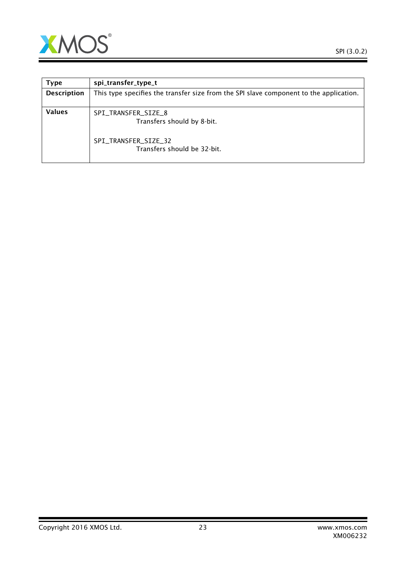

<span id="page-22-0"></span>

| Type               | spi_transfer_type_t                                                                    |
|--------------------|----------------------------------------------------------------------------------------|
| <b>Description</b> | This type specifies the transfer size from the SPI slave component to the application. |
| <b>Values</b>      | SPI_TRANSFER_SIZE_8<br>Transfers should by 8-bit.                                      |
|                    | SPI_TRANSFER_SIZE_32<br>Transfers should be 32-bit.                                    |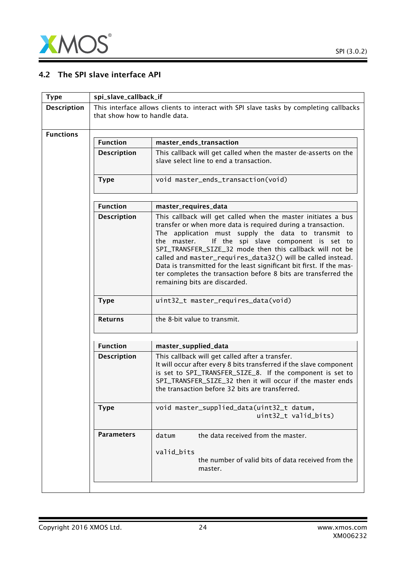

 $\equiv$ 

# 4.2 The SPI slave interface API

<span id="page-23-0"></span>

| spi_slave_callback_if                                                                                                   |                                                                                                                                                                                                                                                                                                                                                                                                                                                                                                                                                    |  |
|-------------------------------------------------------------------------------------------------------------------------|----------------------------------------------------------------------------------------------------------------------------------------------------------------------------------------------------------------------------------------------------------------------------------------------------------------------------------------------------------------------------------------------------------------------------------------------------------------------------------------------------------------------------------------------------|--|
| This interface allows clients to interact with SPI slave tasks by completing callbacks<br>that show how to handle data. |                                                                                                                                                                                                                                                                                                                                                                                                                                                                                                                                                    |  |
|                                                                                                                         |                                                                                                                                                                                                                                                                                                                                                                                                                                                                                                                                                    |  |
| <b>Function</b>                                                                                                         | master_ends_transaction                                                                                                                                                                                                                                                                                                                                                                                                                                                                                                                            |  |
| <b>Description</b>                                                                                                      | This callback will get called when the master de-asserts on the<br>slave select line to end a transaction.                                                                                                                                                                                                                                                                                                                                                                                                                                         |  |
| <b>Type</b>                                                                                                             | void master_ends_transaction(void)                                                                                                                                                                                                                                                                                                                                                                                                                                                                                                                 |  |
| <b>Function</b>                                                                                                         | master_requires_data                                                                                                                                                                                                                                                                                                                                                                                                                                                                                                                               |  |
| <b>Description</b>                                                                                                      | This callback will get called when the master initiates a bus<br>transfer or when more data is required during a transaction.<br>The application must supply the data to transmit to<br>If the spi slave component is set to<br>the master.<br>SPI_TRANSFER_SIZE_32 mode then this callback will not be<br>called and master_requires_data32() will be called instead.<br>Data is transmitted for the least significant bit first. If the mas-<br>ter completes the transaction before 8 bits are transferred the<br>remaining bits are discarded. |  |
| <b>Type</b>                                                                                                             | uint32_t master_requires_data(void)                                                                                                                                                                                                                                                                                                                                                                                                                                                                                                                |  |
| <b>Returns</b>                                                                                                          | the 8-bit value to transmit.                                                                                                                                                                                                                                                                                                                                                                                                                                                                                                                       |  |
|                                                                                                                         | master_supplied_data                                                                                                                                                                                                                                                                                                                                                                                                                                                                                                                               |  |
| <b>Description</b>                                                                                                      | This callback will get called after a transfer.<br>It will occur after every 8 bits transferred if the slave component<br>is set to SPI_TRANSFER_SIZE_8. If the component is set to<br>SPI_TRANSFER_SIZE_32 then it will occur if the master ends<br>the transaction before 32 bits are transferred.                                                                                                                                                                                                                                               |  |
| <b>Type</b>                                                                                                             | void master_supplied_data(uint32_t datum,<br>uint32_t valid_bits)                                                                                                                                                                                                                                                                                                                                                                                                                                                                                  |  |
| <b>Parameters</b>                                                                                                       | the data received from the master.<br>datum<br>valid_bits<br>the number of valid bits of data received from the<br>master.                                                                                                                                                                                                                                                                                                                                                                                                                         |  |
|                                                                                                                         | <b>Function</b>                                                                                                                                                                                                                                                                                                                                                                                                                                                                                                                                    |  |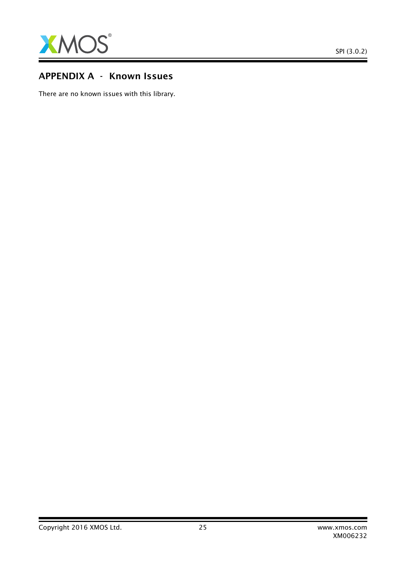

# APPENDIX A - Known Issues

There are no known issues with this library.